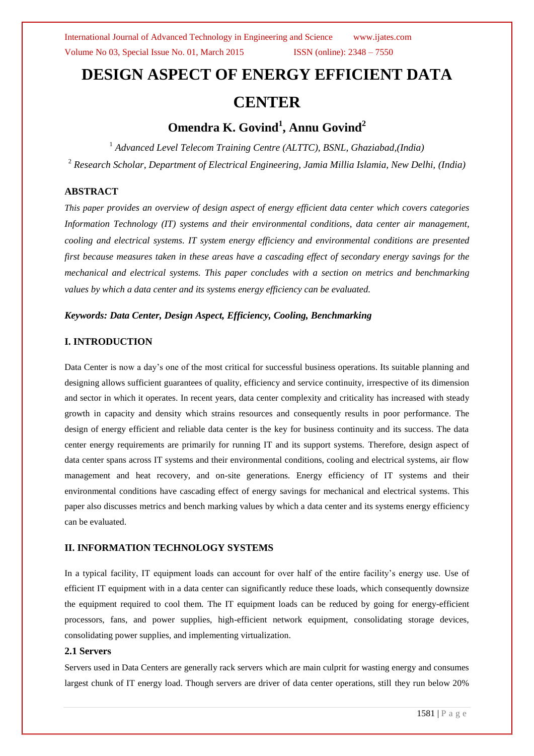# **DESIGN ASPECT OF ENERGY EFFICIENT DATA CENTER**

# **Omendra K. Govind<sup>1</sup> , Annu Govind<sup>2</sup>**

<sup>1</sup> Advanced Level Telecom Training Centre (ALTTC), BSNL, Ghaziabad, (India) <sup>2</sup> *Research Scholar, Department of Electrical Engineering, Jamia Millia Islamia, New Delhi, (India)*

# **ABSTRACT**

*This paper provides an overview of design aspect of energy efficient data center which covers categories Information Technology (IT) systems and their environmental conditions, data center air management, cooling and electrical systems. IT system energy efficiency and environmental conditions are presented first because measures taken in these areas have a cascading effect of secondary energy savings for the mechanical and electrical systems. This paper concludes with a section on metrics and benchmarking values by which a data center and its systems energy efficiency can be evaluated.* 

# *Keywords: Data Center, Design Aspect, Efficiency, Cooling, Benchmarking*

# **I. INTRODUCTION**

Data Center is now a day"s one of the most critical for successful business operations. Its suitable planning and designing allows sufficient guarantees of quality, efficiency and service continuity, irrespective of its dimension and sector in which it operates. In recent years, data center complexity and criticality has increased with steady growth in capacity and density which strains resources and consequently results in poor performance. The design of energy efficient and reliable data center is the key for business continuity and its success. The data center energy requirements are primarily for running IT and its support systems. Therefore, design aspect of data center spans across IT systems and their environmental conditions, cooling and electrical systems, air flow management and heat recovery, and on-site generations. Energy efficiency of IT systems and their environmental conditions have cascading effect of energy savings for mechanical and electrical systems. This paper also discusses metrics and bench marking values by which a data center and its systems energy efficiency can be evaluated.

# **II. INFORMATION TECHNOLOGY SYSTEMS**

In a typical facility, IT equipment loads can account for over half of the entire facility"s energy use. Use of efficient IT equipment with in a data center can significantly reduce these loads, which consequently downsize the equipment required to cool them. The IT equipment loads can be reduced by going for energy-efficient processors, fans, and power supplies, high-efficient network equipment, consolidating storage devices, consolidating power supplies, and implementing virtualization.

#### **2.1 Servers**

Servers used in Data Centers are generally rack servers which are main culprit for wasting energy and consumes largest chunk of IT energy load. Though servers are driver of data center operations, still they run below 20%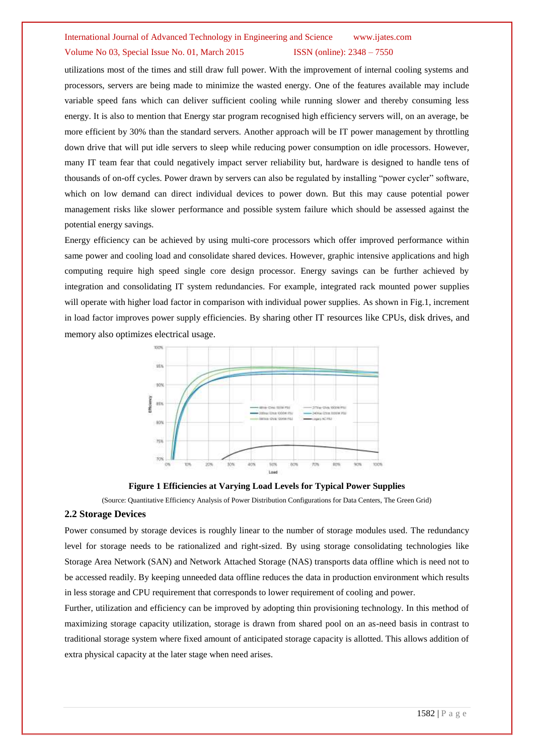utilizations most of the times and still draw full power. With the improvement of internal cooling systems and processors, servers are being made to minimize the wasted energy. One of the features available may include variable speed fans which can deliver sufficient cooling while running slower and thereby consuming less energy. It is also to mention that Energy star program recognised high efficiency servers will, on an average, be more efficient by 30% than the standard servers. Another approach will be IT power management by throttling down drive that will put idle servers to sleep while reducing power consumption on idle processors. However, many IT team fear that could negatively impact server reliability but, hardware is designed to handle tens of thousands of on-off cycles. Power drawn by servers can also be regulated by installing "power cycler" software, which on low demand can direct individual devices to power down. But this may cause potential power management risks like slower performance and possible system failure which should be assessed against the potential energy savings.

Energy efficiency can be achieved by using multi-core processors which offer improved performance within same power and cooling load and consolidate shared devices. However, graphic intensive applications and high computing require high speed single core design processor. Energy savings can be further achieved by integration and consolidating IT system redundancies. For example, integrated rack mounted power supplies will operate with higher load factor in comparison with individual power supplies. As shown in Fig.1, increment in load factor improves power supply efficiencies. By sharing other IT resources like CPUs, disk drives, and memory also optimizes electrical usage.



**Figure 1 Efficiencies at Varying Load Levels for Typical Power Supplies**

(Source: Quantitative Efficiency Analysis of Power Distribution Configurations for Data Centers, The Green Grid)

# **2.2 Storage Devices**

Power consumed by storage devices is roughly linear to the number of storage modules used. The redundancy level for storage needs to be rationalized and right-sized. By using storage consolidating technologies like Storage Area Network (SAN) and Network Attached Storage (NAS) transports data offline which is need not to be accessed readily. By keeping unneeded data offline reduces the data in production environment which results in less storage and CPU requirement that corresponds to lower requirement of cooling and power.

Further, utilization and efficiency can be improved by adopting thin provisioning technology. In this method of maximizing storage capacity utilization, storage is drawn from shared pool on an as-need basis in contrast to traditional storage system where fixed amount of anticipated storage capacity is allotted. This allows addition of extra physical capacity at the later stage when need arises.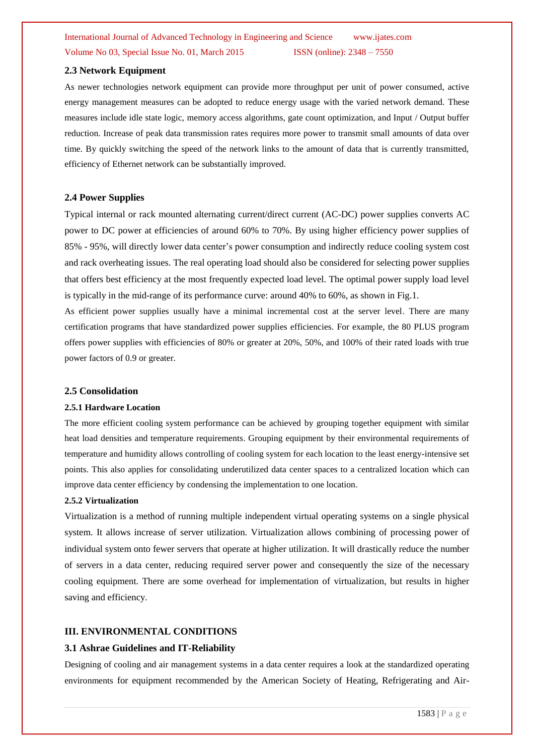## **2.3 Network Equipment**

As newer technologies network equipment can provide more throughput per unit of power consumed, active energy management measures can be adopted to reduce energy usage with the varied network demand. These measures include idle state logic, memory access algorithms, gate count optimization, and Input / Output buffer reduction. Increase of peak data transmission rates requires more power to transmit small amounts of data over time. By quickly switching the speed of the network links to the amount of data that is currently transmitted, efficiency of Ethernet network can be substantially improved.

## **2.4 Power Supplies**

Typical internal or rack mounted alternating current/direct current (AC-DC) power supplies converts AC power to DC power at efficiencies of around 60% to 70%. By using higher efficiency power supplies of 85% - 95%, will directly lower data center"s power consumption and indirectly reduce cooling system cost and rack overheating issues. The real operating load should also be considered for selecting power supplies that offers best efficiency at the most frequently expected load level. The optimal power supply load level is typically in the mid-range of its performance curve: around 40% to 60%, as shown in Fig.1.

As efficient power supplies usually have a minimal incremental cost at the server level. There are many certification programs that have standardized power supplies efficiencies. For example, the 80 PLUS program offers power supplies with efficiencies of 80% or greater at 20%, 50%, and 100% of their rated loads with true power factors of 0.9 or greater.

#### **2.5 Consolidation**

#### **2.5.1 Hardware Location**

The more efficient cooling system performance can be achieved by grouping together equipment with similar heat load densities and temperature requirements. Grouping equipment by their environmental requirements of temperature and humidity allows controlling of cooling system for each location to the least energy-intensive set points. This also applies for consolidating underutilized data center spaces to a centralized location which can improve data center efficiency by condensing the implementation to one location.

#### **2.5.2 Virtualization**

Virtualization is a method of running multiple independent virtual operating systems on a single physical system. It allows increase of server utilization. Virtualization allows combining of processing power of individual system onto fewer servers that operate at higher utilization. It will drastically reduce the number of servers in a data center, reducing required server power and consequently the size of the necessary cooling equipment. There are some overhead for implementation of virtualization, but results in higher saving and efficiency.

## **III. ENVIRONMENTAL CONDITIONS**

#### **3.1 Ashrae Guidelines and IT-Reliability**

Designing of cooling and air management systems in a data center requires a look at the standardized operating environments for equipment recommended by the American Society of Heating, Refrigerating and Air-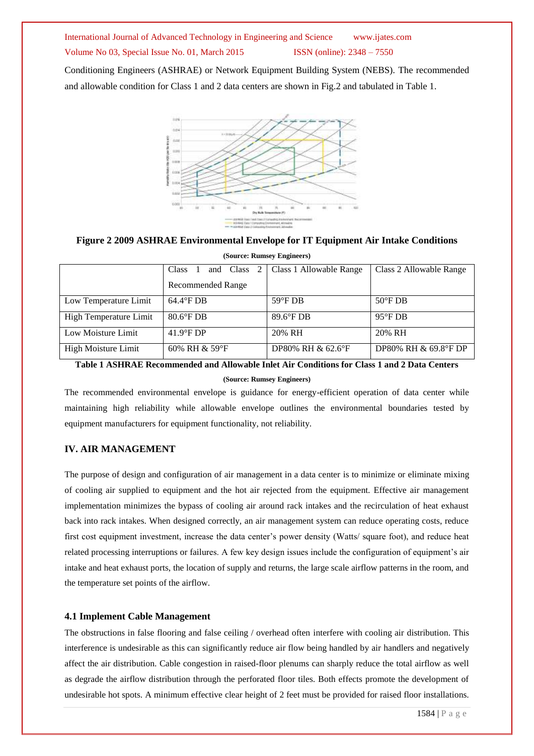Conditioning Engineers (ASHRAE) or Network Equipment Building System (NEBS). The recommended and allowable condition for Class 1 and 2 data centers are shown in Fig.2 and tabulated in Table 1.



**Figure 2 2009 ASHRAE Environmental Envelope for IT Equipment Air Intake Conditions (Source: Rumsey Engineers)**

| (Source: Kunisey Engineers) |                             |                         |                         |  |
|-----------------------------|-----------------------------|-------------------------|-------------------------|--|
|                             | and Class 2<br><b>Class</b> | Class 1 Allowable Range | Class 2 Allowable Range |  |
|                             | <b>Recommended Range</b>    |                         |                         |  |
| Low Temperature Limit       | $64.4^{\circ}$ FDB          | $59^{\circ}$ FDB        | $50^{\circ}$ FDB        |  |
| High Temperature Limit      | $80.6^{\circ}$ F DB         | 89.6°F DB               | $95^{\circ}$ FDB        |  |
| Low Moisture Limit          | $41.9^{\circ}$ F DP         | 20% RH                  | 20% RH                  |  |
| High Moisture Limit         | 60% RH & 59°F               | DP80% RH & 62.6°F       | DP80% RH & 69.8°F DP    |  |

**Table 1 ASHRAE Recommended and Allowable Inlet Air Conditions for Class 1 and 2 Data Centers** 

#### **(Source: Rumsey Engineers)**

The recommended environmental envelope is guidance for energy-efficient operation of data center while maintaining high reliability while allowable envelope outlines the environmental boundaries tested by equipment manufacturers for equipment functionality, not reliability.

# **IV. AIR MANAGEMENT**

The purpose of design and configuration of air management in a data center is to minimize or eliminate mixing of cooling air supplied to equipment and the hot air rejected from the equipment. Effective air management implementation minimizes the bypass of cooling air around rack intakes and the recirculation of heat exhaust back into rack intakes. When designed correctly, an air management system can reduce operating costs, reduce first cost equipment investment, increase the data center"s power density (Watts/ square foot), and reduce heat related processing interruptions or failures. A few key design issues include the configuration of equipment"s air intake and heat exhaust ports, the location of supply and returns, the large scale airflow patterns in the room, and the temperature set points of the airflow.

# **4.1 Implement Cable Management**

The obstructions in false flooring and false ceiling / overhead often interfere with cooling air distribution. This interference is undesirable as this can significantly reduce air flow being handled by air handlers and negatively affect the air distribution. Cable congestion in raised-floor plenums can sharply reduce the total airflow as well as degrade the airflow distribution through the perforated floor tiles. Both effects promote the development of undesirable hot spots. A minimum effective clear height of 2 feet must be provided for raised floor installations.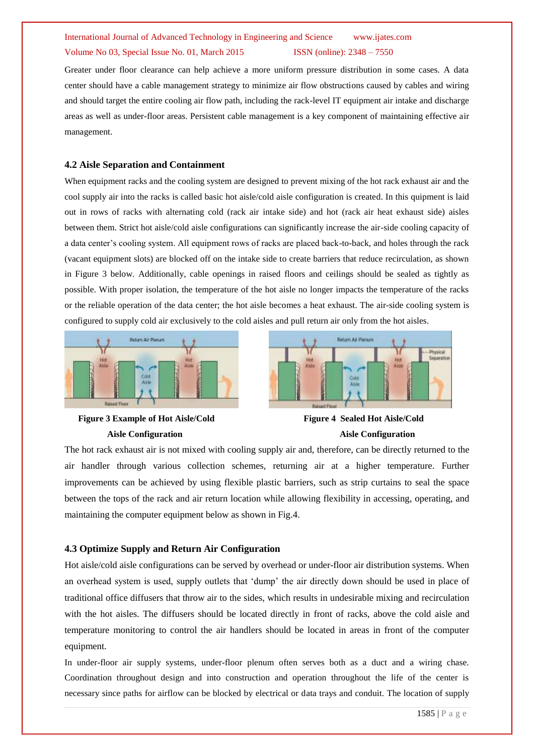Greater under floor clearance can help achieve a more uniform pressure distribution in some cases. A data center should have a cable management strategy to minimize air flow obstructions caused by cables and wiring and should target the entire cooling air flow path, including the rack-level IT equipment air intake and discharge areas as well as under-floor areas. Persistent cable management is a key component of maintaining effective air management.

# **4.2 Aisle Separation and Containment**

When equipment racks and the cooling system are designed to prevent mixing of the hot rack exhaust air and the cool supply air into the racks is called basic hot aisle/cold aisle configuration is created. In this quipment is laid out in rows of racks with alternating cold (rack air intake side) and hot (rack air heat exhaust side) aisles between them. Strict hot aisle/cold aisle configurations can significantly increase the air-side cooling capacity of a data center"s cooling system. All equipment rows of racks are placed back-to-back, and holes through the rack (vacant equipment slots) are blocked off on the intake side to create barriers that reduce recirculation, as shown in Figure 3 below. Additionally, cable openings in raised floors and ceilings should be sealed as tightly as possible. With proper isolation, the temperature of the hot aisle no longer impacts the temperature of the racks or the reliable operation of the data center; the hot aisle becomes a heat exhaust. The air-side cooling system is configured to supply cold air exclusively to the cold aisles and pull return air only from the hot aisles.





 **Figure 3 Example of Hot Aisle/Cold Figure 4 Sealed Hot Aisle/Cold**



The hot rack exhaust air is not mixed with cooling supply air and, therefore, can be directly returned to the air handler through various collection schemes, returning air at a higher temperature. Further improvements can be achieved by using flexible plastic barriers, such as strip curtains to seal the space between the tops of the rack and air return location while allowing flexibility in accessing, operating, and maintaining the computer equipment below as shown in Fig.4.

# **4.3 Optimize Supply and Return Air Configuration**

Hot aisle/cold aisle configurations can be served by overhead or under-floor air distribution systems. When an overhead system is used, supply outlets that "dump" the air directly down should be used in place of traditional office diffusers that throw air to the sides, which results in undesirable mixing and recirculation with the hot aisles. The diffusers should be located directly in front of racks, above the cold aisle and temperature monitoring to control the air handlers should be located in areas in front of the computer equipment.

In under-floor air supply systems, under-floor plenum often serves both as a duct and a wiring chase. Coordination throughout design and into construction and operation throughout the life of the center is necessary since paths for airflow can be blocked by electrical or data trays and conduit. The location of supply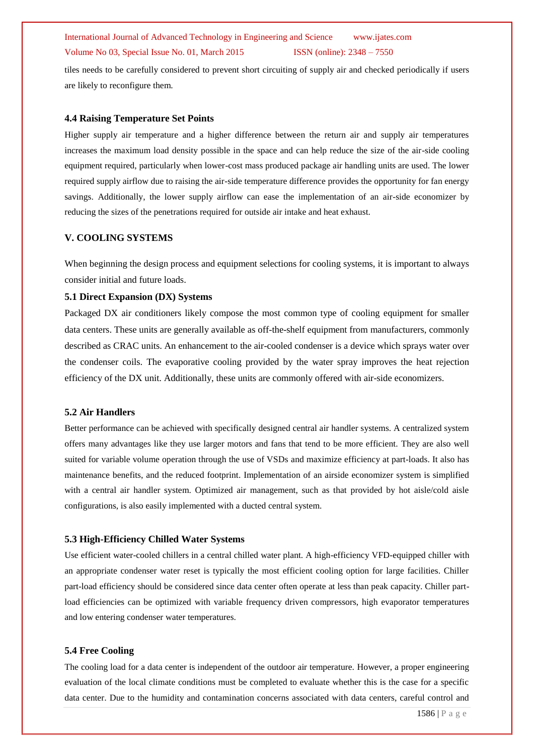tiles needs to be carefully considered to prevent short circuiting of supply air and checked periodically if users are likely to reconfigure them.

#### **4.4 Raising Temperature Set Points**

Higher supply air temperature and a higher difference between the return air and supply air temperatures increases the maximum load density possible in the space and can help reduce the size of the air-side cooling equipment required, particularly when lower-cost mass produced package air handling units are used. The lower required supply airflow due to raising the air-side temperature difference provides the opportunity for fan energy savings. Additionally, the lower supply airflow can ease the implementation of an air-side economizer by reducing the sizes of the penetrations required for outside air intake and heat exhaust.

## **V. COOLING SYSTEMS**

When beginning the design process and equipment selections for cooling systems, it is important to always consider initial and future loads.

#### **5.1 Direct Expansion (DX) Systems**

Packaged DX air conditioners likely compose the most common type of cooling equipment for smaller data centers. These units are generally available as off-the-shelf equipment from manufacturers, commonly described as CRAC units. An enhancement to the air-cooled condenser is a device which sprays water over the condenser coils. The evaporative cooling provided by the water spray improves the heat rejection efficiency of the DX unit. Additionally, these units are commonly offered with air-side economizers.

# **5.2 Air Handlers**

Better performance can be achieved with specifically designed central air handler systems. A centralized system offers many advantages like they use larger motors and fans that tend to be more efficient. They are also well suited for variable volume operation through the use of VSDs and maximize efficiency at part-loads. It also has maintenance benefits, and the reduced footprint. Implementation of an airside economizer system is simplified with a central air handler system. Optimized air management, such as that provided by hot aisle/cold aisle configurations, is also easily implemented with a ducted central system.

#### **5.3 High-Efficiency Chilled Water Systems**

Use efficient water-cooled chillers in a central chilled water plant. A high-efficiency VFD-equipped chiller with an appropriate condenser water reset is typically the most efficient cooling option for large facilities. Chiller part-load efficiency should be considered since data center often operate at less than peak capacity. Chiller partload efficiencies can be optimized with variable frequency driven compressors, high evaporator temperatures and low entering condenser water temperatures.

#### **5.4 Free Cooling**

The cooling load for a data center is independent of the outdoor air temperature. However, a proper engineering evaluation of the local climate conditions must be completed to evaluate whether this is the case for a specific data center. Due to the humidity and contamination concerns associated with data centers, careful control and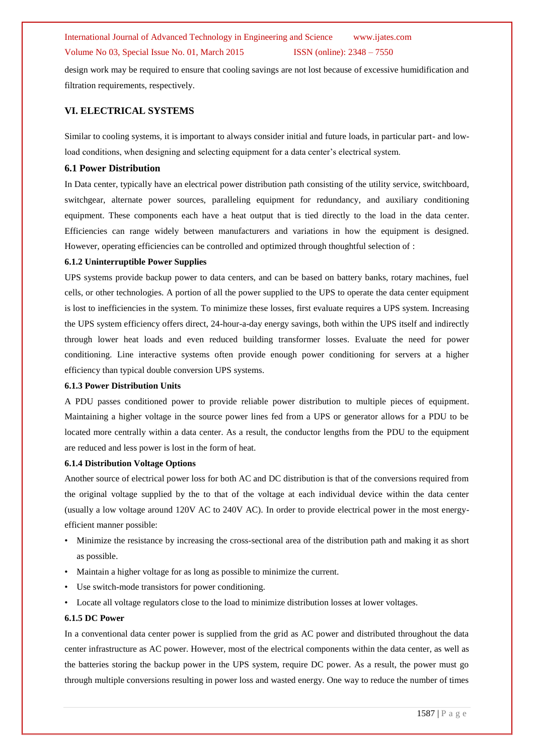#### International Journal of Advanced Technology in Engineering and Science www.ijates.com

#### Volume No 03, Special Issue No. 01, March 2015 ISSN (online): 2348 – 7550

design work may be required to ensure that cooling savings are not lost because of excessive humidification and filtration requirements, respectively.

#### **VI. ELECTRICAL SYSTEMS**

Similar to cooling systems, it is important to always consider initial and future loads, in particular part- and lowload conditions, when designing and selecting equipment for a data center's electrical system.

#### **6.1 Power Distribution**

In Data center, typically have an electrical power distribution path consisting of the utility service, switchboard, switchgear, alternate power sources, paralleling equipment for redundancy, and auxiliary conditioning equipment. These components each have a heat output that is tied directly to the load in the data center. Efficiencies can range widely between manufacturers and variations in how the equipment is designed. However, operating efficiencies can be controlled and optimized through thoughtful selection of :

#### **6.1.2 Uninterruptible Power Supplies**

UPS systems provide backup power to data centers, and can be based on battery banks, rotary machines, fuel cells, or other technologies. A portion of all the power supplied to the UPS to operate the data center equipment is lost to inefficiencies in the system. To minimize these losses, first evaluate requires a UPS system. Increasing the UPS system efficiency offers direct, 24-hour-a-day energy savings, both within the UPS itself and indirectly through lower heat loads and even reduced building transformer losses. Evaluate the need for power conditioning. Line interactive systems often provide enough power conditioning for servers at a higher efficiency than typical double conversion UPS systems.

#### **6.1.3 Power Distribution Units**

A PDU passes conditioned power to provide reliable power distribution to multiple pieces of equipment. Maintaining a higher voltage in the source power lines fed from a UPS or generator allows for a PDU to be located more centrally within a data center. As a result, the conductor lengths from the PDU to the equipment are reduced and less power is lost in the form of heat.

#### **6.1.4 Distribution Voltage Options**

Another source of electrical power loss for both AC and DC distribution is that of the conversions required from the original voltage supplied by the to that of the voltage at each individual device within the data center (usually a low voltage around 120V AC to 240V AC). In order to provide electrical power in the most energyefficient manner possible:

- Minimize the resistance by increasing the cross-sectional area of the distribution path and making it as short as possible.
- Maintain a higher voltage for as long as possible to minimize the current.
- Use switch-mode transistors for power conditioning.
- Locate all voltage regulators close to the load to minimize distribution losses at lower voltages.

#### **6.1.5 DC Power**

In a conventional data center power is supplied from the grid as AC power and distributed throughout the data center infrastructure as AC power. However, most of the electrical components within the data center, as well as the batteries storing the backup power in the UPS system, require DC power. As a result, the power must go through multiple conversions resulting in power loss and wasted energy. One way to reduce the number of times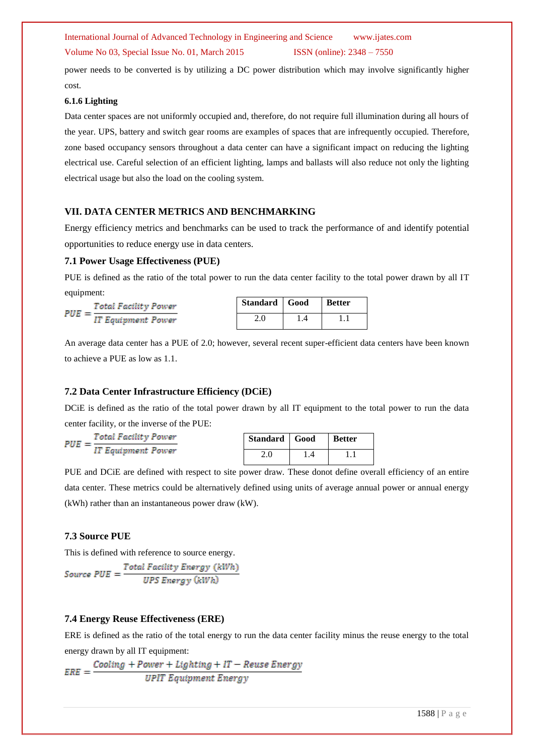Volume No 03, Special Issue No. 01, March 2015 ISSN (online): 2348 – 7550

power needs to be converted is by utilizing a DC power distribution which may involve significantly higher cost.

#### **6.1.6 Lighting**

Data center spaces are not uniformly occupied and, therefore, do not require full illumination during all hours of the year. UPS, battery and switch gear rooms are examples of spaces that are infrequently occupied. Therefore, zone based occupancy sensors throughout a data center can have a significant impact on reducing the lighting electrical use. Careful selection of an efficient lighting, lamps and ballasts will also reduce not only the lighting electrical usage but also the load on the cooling system.

## **VII. DATA CENTER METRICS AND BENCHMARKING**

Energy efficiency metrics and benchmarks can be used to track the performance of and identify potential opportunities to reduce energy use in data centers.

#### **7.1 Power Usage Effectiveness (PUE)**

PUE is defined as the ratio of the total power to run the data center facility to the total power drawn by all IT equipment:

| $PUE=-$ | <b>Total Facility Power</b> |
|---------|-----------------------------|
|         | IT Equipment Power          |

| Standard Good | <b>Better</b> |
|---------------|---------------|
| 20            |               |

An average data center has a PUE of 2.0; however, several recent super-efficient data centers have been known to achieve a PUE as low as 1.1.

#### **7.2 Data Center Infrastructure Efficiency (DCiE)**

DCiE is defined as the ratio of the total power drawn by all IT equipment to the total power to run the data center facility, or the inverse of the PUE:

 $PUE = \frac{Total Facility Power}{IT Equipment Power}$ 

| Standard   Good |    | <b>Better</b> |
|-----------------|----|---------------|
| 2.0             | 14 |               |

PUE and DCiE are defined with respect to site power draw. These donot define overall efficiency of an entire data center. These metrics could be alternatively defined using units of average annual power or annual energy (kWh) rather than an instantaneous power draw (kW).

## **7.3 Source PUE**

This is defined with reference to source energy.

 $Source\ PUE = \frac{Total\ Facility\ Energy\ (kWh)}{UPS\ Energy\ (kWh)}$ 

#### **7.4 Energy Reuse Effectiveness (ERE)**

ERE is defined as the ratio of the total energy to run the data center facility minus the reuse energy to the total energy drawn by all IT equipment:

 $\frac{Cooling + Power + Lighting + IT - Reuse Energy}{UPIT Equipment Energy}$  $ERE =$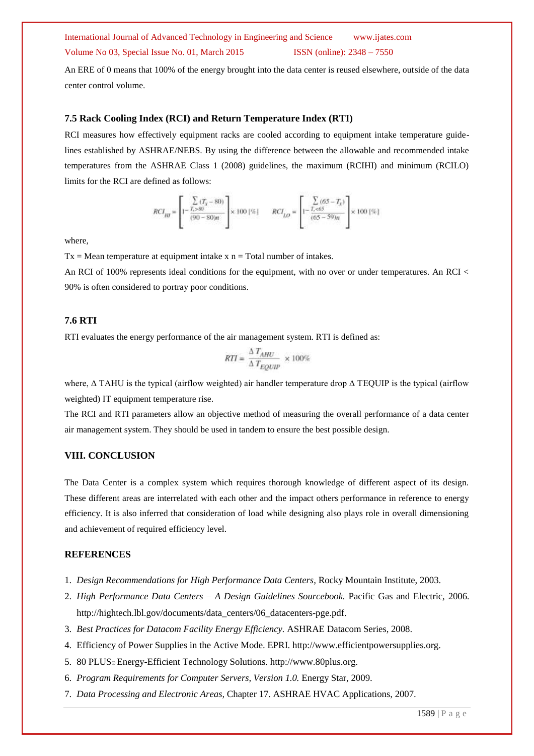An ERE of 0 means that 100% of the energy brought into the data center is reused elsewhere, outside of the data center control volume.

#### **7.5 Rack Cooling Index (RCI) and Return Temperature Index (RTI)**

RCI measures how effectively equipment racks are cooled according to equipment intake temperature guidelines established by ASHRAE/NEBS. By using the difference between the allowable and recommended intake temperatures from the ASHRAE Class 1 (2008) guidelines, the maximum (RCIHI) and minimum (RCILO) limits for the RCI are defined as follows:

$$
RCI_{HI} = \left[1 - \frac{\sum\limits_{T_s > 80}(T_x - 80)}{(90 - 80)n}\right] \times 100 \, [ \% \, ] \qquad RCI_{LO} = \left[1 - \frac{\sum\limits_{T_s < 65} (65 - T_x)}{(65 - 59)n}\right] \times 100 \, [ \% \, ]
$$

where,

 $Tx = Mean$  temperature at equipment intake x  $n = Total$  number of intakes.

An RCI of 100% represents ideal conditions for the equipment, with no over or under temperatures. An RCI < 90% is often considered to portray poor conditions.

# **7.6 RTI**

RTI evaluates the energy performance of the air management system. RTI is defined as:

$$
RTI = \frac{\Delta T_{AHU}}{\Delta T_{EOUIP}} \times 100\%
$$

where, Δ TAHU is the typical (airflow weighted) air handler temperature drop Δ TEQUIP is the typical (airflow weighted) IT equipment temperature rise.

The RCI and RTI parameters allow an objective method of measuring the overall performance of a data center air management system. They should be used in tandem to ensure the best possible design.

#### **VIII. CONCLUSION**

The Data Center is a complex system which requires thorough knowledge of different aspect of its design. These different areas are interrelated with each other and the impact others performance in reference to energy efficiency. It is also inferred that consideration of load while designing also plays role in overall dimensioning and achievement of required efficiency level.

# **REFERENCES**

- 1. *Design Recommendations for High Performance Data Centers,* Rocky Mountain Institute, 2003.
- 2. *High Performance Data Centers – A Design Guidelines Sourcebook.* Pacific Gas and Electric, 2006. http://hightech.lbl.gov/documents/data\_centers/06\_datacenters-pge.pdf.
- 3. *Best Practices for Datacom Facility Energy Efficiency.* ASHRAE Datacom Series, 2008.
- 4. Efficiency of Power Supplies in the Active Mode. EPRI. http://www.efficientpowersupplies.org.
- 5. 80 PLUS® Energy-Efficient Technology Solutions. http://www.80plus.org.
- 6. *Program Requirements for Computer Servers, Version 1.0.* Energy Star, 2009.
- 7. *Data Processing and Electronic Areas,* Chapter 17. ASHRAE HVAC Applications, 2007.